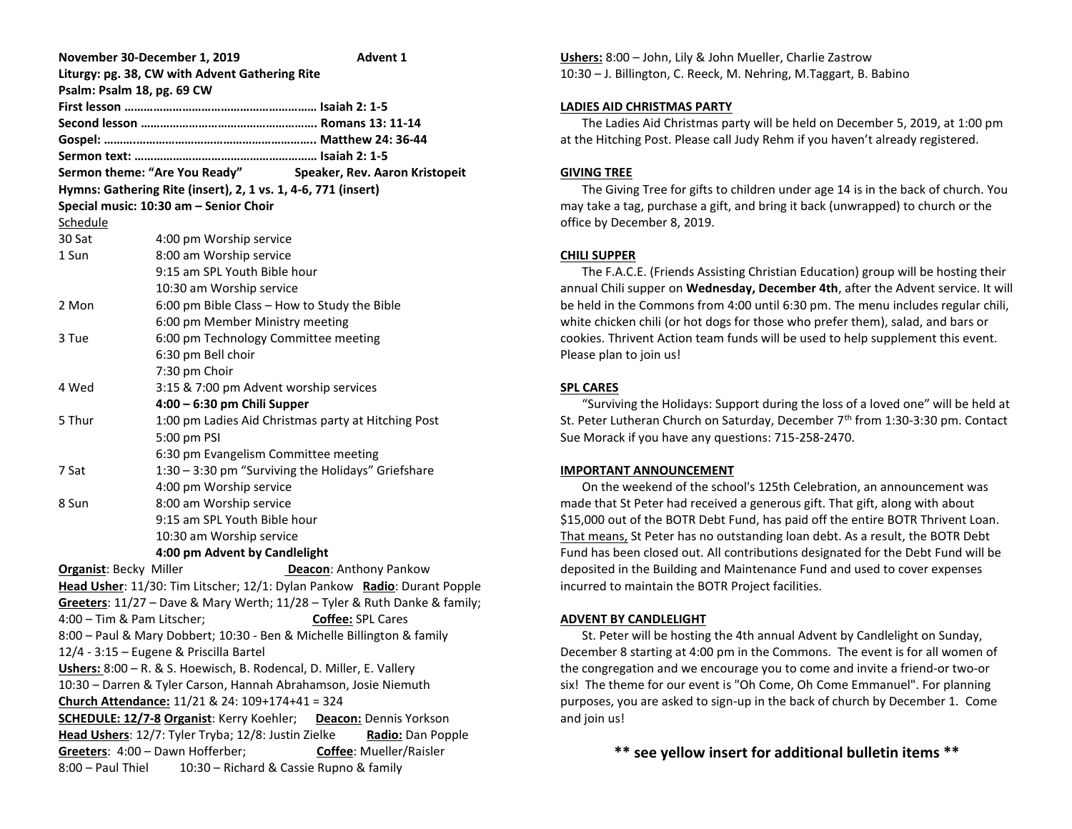| November 30-December 1, 2019                                               |                                              | Advent 1                                                     |  |  |  |
|----------------------------------------------------------------------------|----------------------------------------------|--------------------------------------------------------------|--|--|--|
| Liturgy: pg. 38, CW with Advent Gathering Rite                             |                                              |                                                              |  |  |  |
| Psalm: Psalm 18, pg. 69 CW                                                 |                                              |                                                              |  |  |  |
|                                                                            |                                              |                                                              |  |  |  |
|                                                                            |                                              |                                                              |  |  |  |
|                                                                            |                                              |                                                              |  |  |  |
|                                                                            |                                              |                                                              |  |  |  |
|                                                                            |                                              | Sermon theme: "Are You Ready" Speaker, Rev. Aaron Kristopeit |  |  |  |
| Hymns: Gathering Rite (insert), 2, 1 vs. 1, 4-6, 771 (insert)              |                                              |                                                              |  |  |  |
| Special music: 10:30 am - Senior Choir                                     |                                              |                                                              |  |  |  |
| Schedule                                                                   |                                              |                                                              |  |  |  |
| 30 Sat                                                                     | 4:00 pm Worship service                      |                                                              |  |  |  |
| 1 Sun                                                                      | 8:00 am Worship service                      |                                                              |  |  |  |
|                                                                            | 9:15 am SPL Youth Bible hour                 |                                                              |  |  |  |
|                                                                            | 10:30 am Worship service                     |                                                              |  |  |  |
| 2 Mon                                                                      | 6:00 pm Bible Class - How to Study the Bible |                                                              |  |  |  |
|                                                                            | 6:00 pm Member Ministry meeting              |                                                              |  |  |  |
| 3 Tue                                                                      | 6:00 pm Technology Committee meeting         |                                                              |  |  |  |
|                                                                            | 6:30 pm Bell choir                           |                                                              |  |  |  |
|                                                                            | 7:30 pm Choir                                |                                                              |  |  |  |
| 4 Wed                                                                      | 3:15 & 7:00 pm Advent worship services       |                                                              |  |  |  |
|                                                                            | 4:00 - 6:30 pm Chili Supper                  |                                                              |  |  |  |
| 5 Thur                                                                     |                                              | 1:00 pm Ladies Aid Christmas party at Hitching Post          |  |  |  |
|                                                                            | 5:00 pm PSI                                  |                                                              |  |  |  |
|                                                                            | 6:30 pm Evangelism Committee meeting         |                                                              |  |  |  |
| 7 Sat                                                                      |                                              | 1:30 - 3:30 pm "Surviving the Holidays" Griefshare           |  |  |  |
|                                                                            | 4:00 pm Worship service                      |                                                              |  |  |  |
| 8 Sun                                                                      | 8:00 am Worship service                      |                                                              |  |  |  |
|                                                                            | 9:15 am SPL Youth Bible hour                 |                                                              |  |  |  |
|                                                                            | 10:30 am Worship service                     |                                                              |  |  |  |
|                                                                            | 4:00 pm Advent by Candlelight                |                                                              |  |  |  |
| <b>Organist: Becky Miller</b>                                              |                                              | <b>Deacon:</b> Anthony Pankow                                |  |  |  |
| Head Usher: 11/30: Tim Litscher; 12/1: Dylan Pankow Radio: Durant Popple   |                                              |                                                              |  |  |  |
| Greeters: 11/27 - Dave & Mary Werth; 11/28 - Tyler & Ruth Danke & family;  |                                              |                                                              |  |  |  |
| 4:00 - Tim & Pam Litscher;<br><b>Coffee: SPL Cares</b>                     |                                              |                                                              |  |  |  |
| 8:00 - Paul & Mary Dobbert; 10:30 - Ben & Michelle Billington & family     |                                              |                                                              |  |  |  |
| 12/4 - 3:15 – Eugene & Priscilla Bartel                                    |                                              |                                                              |  |  |  |
| Ushers: 8:00 - R. & S. Hoewisch, B. Rodencal, D. Miller, E. Vallery        |                                              |                                                              |  |  |  |
| 10:30 - Darren & Tyler Carson, Hannah Abrahamson, Josie Niemuth            |                                              |                                                              |  |  |  |
| Church Attendance: 11/21 & 24: 109+174+41 = 324                            |                                              |                                                              |  |  |  |
| <b>SCHEDULE: 12/7-8 Organist: Kerry Koehler;</b><br>Deacon: Dennis Yorkson |                                              |                                                              |  |  |  |
| Head Ushers: 12/7: Tyler Tryba; 12/8: Justin Zielke<br>Radio: Dan Popple   |                                              |                                                              |  |  |  |
| Greeters: 4:00 - Dawn Hofferber;<br><b>Coffee: Mueller/Raisler</b>         |                                              |                                                              |  |  |  |
| 8:00 - Paul Thiel<br>10:30 - Richard & Cassie Rupno & family               |                                              |                                                              |  |  |  |

**Ushers:** 8:00 – John, Lily & John Mueller, Charlie Zastrow 10:30 – J. Billington, C. Reeck, M. Nehring, M.Taggart, B. Babino

#### **LADIES AID CHRISTMAS PARTY**

 The Ladies Aid Christmas party will be held on December 5, 2019, at 1:00 pm at the Hitching Post. Please call Judy Rehm if you haven't already registered.

## **GIVING TREE**

 The Giving Tree for gifts to children under age 14 is in the back of church. You may take a tag, purchase a gift, and bring it back (unwrapped) to church or the office by December 8, 2019.

## **CHILI SUPPER**

 The F.A.C.E. (Friends Assisting Christian Education) group will be hosting their annual Chili supper on **Wednesday, December 4th**, after the Advent service. It will be held in the Commons from 4:00 until 6:30 pm. The menu includes regular chili, white chicken chili (or hot dogs for those who prefer them), salad, and bars or cookies. Thrivent Action team funds will be used to help supplement this event. Please plan to join us!

## **SPL CARES**

 "Surviving the Holidays: Support during the loss of a loved one" will be held at St. Peter Lutheran Church on Saturday, December  $7<sup>th</sup>$  from 1:30-3:30 pm. Contact Sue Morack if you have any questions: 715-258-2470.

## **IMPORTANT ANNOUNCEMENT**

On the weekend of the school's 125th Celebration, an announcement was made that St Peter had received a generous gift. That gift, along with about \$15,000 out of the BOTR Debt Fund, has paid off the entire BOTR Thrivent Loan. That means, St Peter has no outstanding loan debt. As a result, the BOTR Debt Fund has been closed out. All contributions designated for the Debt Fund will be deposited in the Building and Maintenance Fund and used to cover expenses incurred to maintain the BOTR Project facilities.

## **ADVENT BY CANDLELIGHT**

 St. Peter will be hosting the 4th annual Advent by Candlelight on Sunday, December 8 starting at 4:00 pm in the Commons. The event is for all women of the congregation and we encourage you to come and invite a friend-or two-or six! The theme for our event is "Oh Come, Oh Come Emmanuel". For planning purposes, you are asked to sign-up in the back of church by December 1. Come and join us!

**\*\* see yellow insert for additional bulletin items \*\***